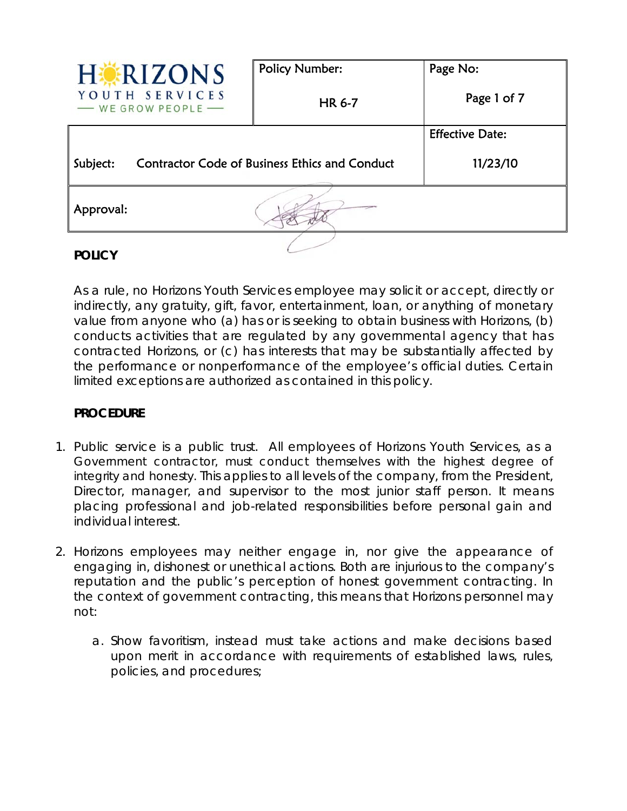| <b>HERIZONS</b>                                                   | <b>Policy Number:</b> | Page No:               |
|-------------------------------------------------------------------|-----------------------|------------------------|
| YOUTH SERVICES<br>- WE GROW PEOPLE                                | <b>HR 6-7</b>         | Page 1 of 7            |
|                                                                   |                       | <b>Effective Date:</b> |
| <b>Contractor Code of Business Ethics and Conduct</b><br>Subject: |                       | 11/23/10               |
| Approval:                                                         |                       |                        |
|                                                                   |                       |                        |

# **POLICY**

As a rule, no Horizons Youth Services employee may solicit or accept, directly or indirectly, any gratuity, gift, favor, entertainment, loan, or anything of monetary value from anyone who (a) has or is seeking to obtain business with Horizons, (b) conducts activities that are regulated by any governmental agency that has contracted Horizons, or (c) has interests that may be substantially affected by the performance or nonperformance of the employee's official duties. Certain limited exceptions are authorized as contained in this policy.

## **PROCEDURE**

- 1. Public service is a public trust. All employees of Horizons Youth Services, as a Government contractor, must conduct themselves with the highest degree of integrity and honesty. This applies to all levels of the company, from the President, Director, manager, and supervisor to the most junior staff person. It means placing professional and job-related responsibilities before personal gain and individual interest.
- 2. Horizons employees may neither engage in, nor give the appearance of engaging in, dishonest or unethical actions. Both are injurious to the company's reputation and the public's perception of honest government contracting. In the context of government contracting, this means that Horizons personnel may not:
	- a. Show favoritism, instead must take actions and make decisions based upon merit in accordance with requirements of established laws, rules, policies, and procedures;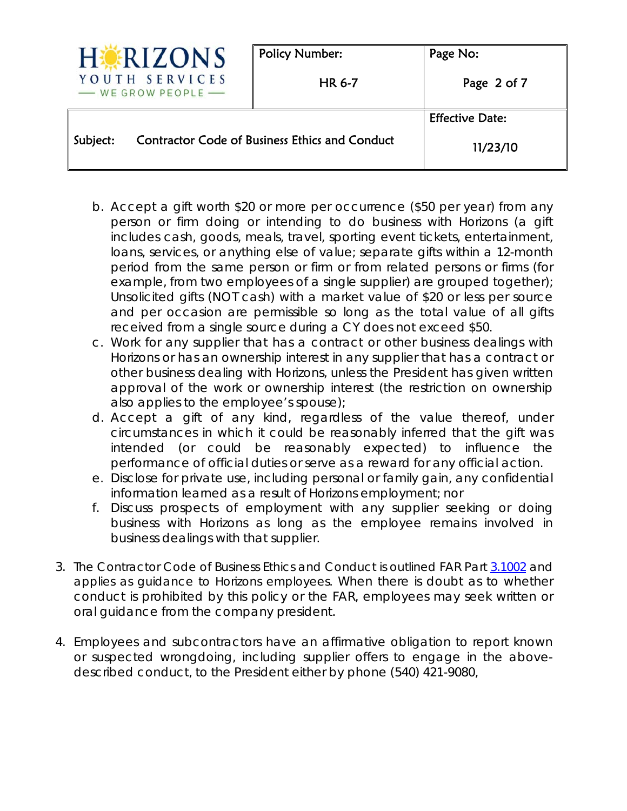| RIZONS                                                            |  | <b>Policy Number:</b> | Page No:               |
|-------------------------------------------------------------------|--|-----------------------|------------------------|
| YOUTH SERVICES<br>- WE GROW PEOPLE                                |  | <b>HR 6-7</b>         | Page 2 of 7            |
|                                                                   |  |                       | <b>Effective Date:</b> |
| <b>Contractor Code of Business Ethics and Conduct</b><br>Subject: |  | 11/23/10              |                        |

- b. Accept a gift worth \$20 or more per occurrence (\$50 per year) from any person or firm doing or intending to do business with Horizons (a gift includes cash, goods, meals, travel, sporting event tickets, entertainment, loans, services, or anything else of value; separate gifts within a 12-month period from the same person or firm or from related persons or firms (for example, from two employees of a single supplier) are grouped together); Unsolicited gifts (NOT cash) with a market value of \$20 or less per source and per occasion are permissible so long as the total value of all gifts received from a single source during a CY does not exceed \$50.
- c. Work for any supplier that has a contract or other business dealings with Horizons or has an ownership interest in any supplier that has a contract or other business dealing with Horizons, unless the President has given written approval of the work or ownership interest (the restriction on ownership also applies to the employee's spouse);
- d. Accept a gift of any kind, regardless of the value thereof, under circumstances in which it could be reasonably inferred that the gift was intended (or could be reasonably expected) to influence the performance of official duties or serve as a reward for any official action.
- e. Disclose for private use, including personal or family gain, any confidential information learned as a result of Horizons employment; nor
- f. Discuss prospects of employment with any supplier seeking or doing business with Horizons as long as the employee remains involved in business dealings with that supplier.
- 3. The Contractor Code of Business Ethics and Conduct is outlined FAR Part 3.1002 and applies as guidance to Horizons employees. When there is doubt as to whether conduct is prohibited by this policy or the FAR, employees may seek written or oral guidance from the company president.
- 4. Employees and subcontractors have an affirmative obligation to report known or suspected wrongdoing, including supplier offers to engage in the abovedescribed conduct, to the President either by phone (540) 421-9080,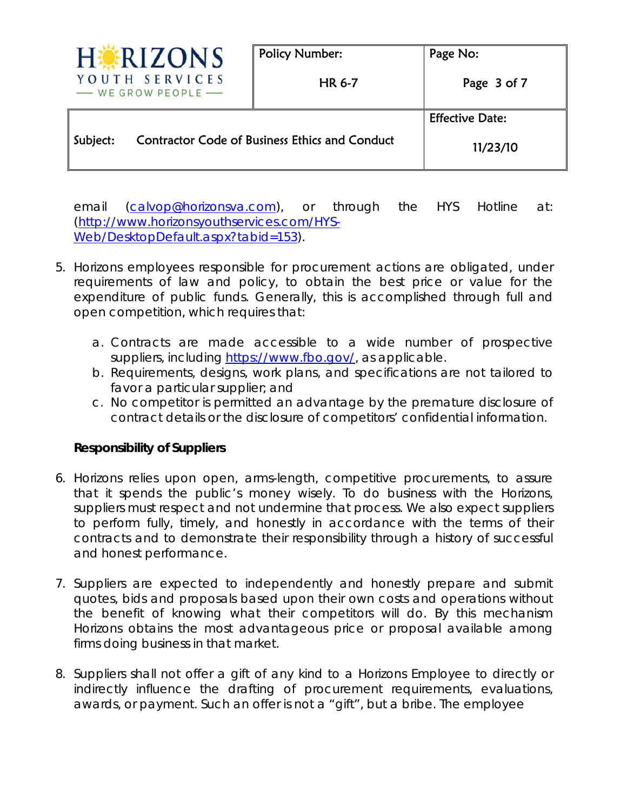| <b>ERIZONS</b>                                                    | <b>Policy Number:</b> | Page No:               |
|-------------------------------------------------------------------|-----------------------|------------------------|
| YOUTH SERVICES<br>- WE GROW PEOPLE                                | <b>HR 6-7</b>         | Page 3 of 7            |
|                                                                   |                       | <b>Effective Date:</b> |
| <b>Contractor Code of Business Ethics and Conduct</b><br>Subject: |                       | 11/23/10               |

email (calvop@horizonsva.com), or through the HYS Hotline at: (http://www.horizonsyouthservices.com/HYS-Web/DesktopDefault.aspx?tabid=153).

- 5. Horizons employees responsible for procurement actions are obligated, under requirements of law and policy, to obtain the best price or value for the expenditure of public funds. Generally, this is accomplished through full and open competition, which requires that:
	- a. Contracts are made accessible to a wide number of prospective suppliers, including https://www.fbo.gov/, as applicable.
	- b. Requirements, designs, work plans, and specifications are not tailored to favor a particular supplier; and
	- c. No competitor is permitted an advantage by the premature disclosure of contract details or the disclosure of competitors' confidential information.

## **Responsibility of Suppliers**

- 6. Horizons relies upon open, arms-length, competitive procurements, to assure that it spends the public's money wisely. To do business with the Horizons, suppliers must respect and not undermine that process. We also expect suppliers to perform fully, timely, and honestly in accordance with the terms of their contracts and to demonstrate their responsibility through a history of successful and honest performance.
- 7. Suppliers are expected to independently and honestly prepare and submit quotes, bids and proposals based upon their own costs and operations without the benefit of knowing what their competitors will do. By this mechanism Horizons obtains the most advantageous price or proposal available among firms doing business in that market.
- 8. Suppliers shall not offer a gift of any kind to a Horizons Employee to directly or indirectly influence the drafting of procurement requirements, evaluations, awards, or payment. Such an offer is not a "gift", but a bribe. The employee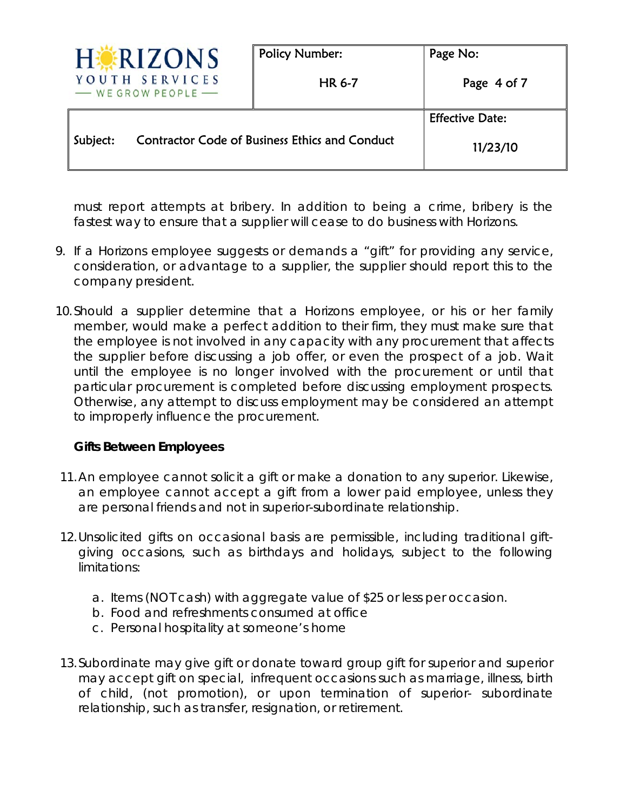|                                                                   | RIZONS                               | <b>Policy Number:</b> | Page No:               |
|-------------------------------------------------------------------|--------------------------------------|-----------------------|------------------------|
|                                                                   | YOUTH SERVICES<br>- WE GROW PEOPLE - | <b>HR 6-7</b>         | Page 4 of 7            |
|                                                                   |                                      |                       | <b>Effective Date:</b> |
| <b>Contractor Code of Business Ethics and Conduct</b><br>Subject: |                                      | 11/23/10              |                        |

must report attempts at bribery. In addition to being a crime, bribery is the fastest way to ensure that a supplier will cease to do business with Horizons.

- 9. If a Horizons employee suggests or demands a "gift" for providing any service, consideration, or advantage to a supplier, the supplier should report this to the company president.
- 10.Should a supplier determine that a Horizons employee, or his or her family member, would make a perfect addition to their firm, they must make sure that the employee is not involved in any capacity with any procurement that affects the supplier before discussing a job offer, or even the prospect of a job. Wait until the employee is no longer involved with the procurement or until that particular procurement is completed before discussing employment prospects. Otherwise, any attempt to discuss employment may be considered an attempt to improperly influence the procurement.

## **Gifts Between Employees**

- 11.An employee cannot solicit a gift or make a donation to any superior. Likewise, an employee cannot accept a gift from a lower paid employee, unless they are personal friends and not in superior-subordinate relationship.
- 12.Unsolicited gifts on occasional basis are permissible, including traditional giftgiving occasions, such as birthdays and holidays, subject to the following limitations:
	- a. Items (NOT cash) with aggregate value of \$25 or less per occasion.
	- b. Food and refreshments consumed at office
	- c. Personal hospitality at someone's home
- 13.Subordinate may give gift or donate toward group gift for superior and superior may accept gift on special, infrequent occasions such as marriage, illness, birth of child, (not promotion), or upon termination of superior- subordinate relationship, such as transfer, resignation, or retirement.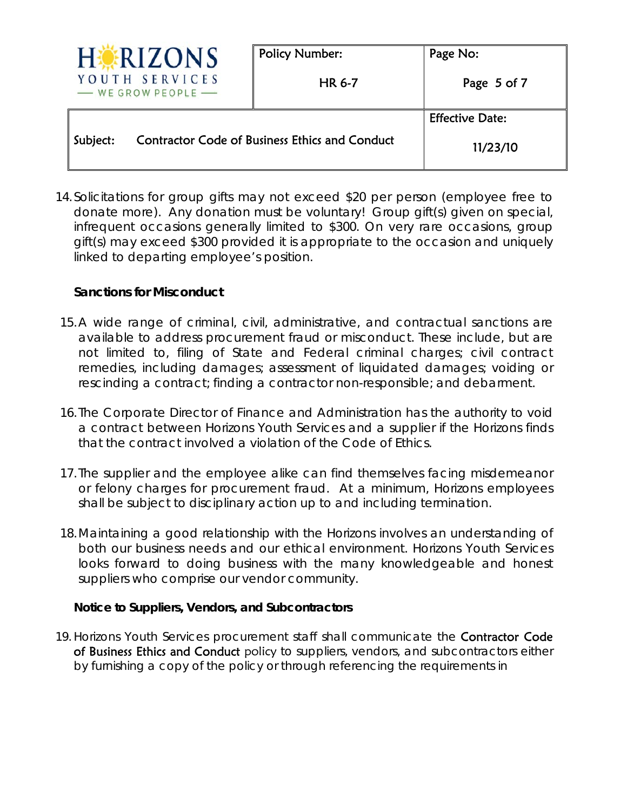|          | RIZONS                                                | <b>Policy Number:</b> | Page No:               |
|----------|-------------------------------------------------------|-----------------------|------------------------|
|          | YOUTH SERVICES<br>- WE GROW PEOPLE                    | <b>HR 6-7</b>         | Page 5 of 7            |
|          |                                                       |                       | <b>Effective Date:</b> |
| Subject: | <b>Contractor Code of Business Ethics and Conduct</b> |                       | 11/23/10               |

14.Solicitations for group gifts may not exceed \$20 per person (employee free to donate more). Any donation must be voluntary! Group gift(s) given on special, infrequent occasions generally limited to \$300. On very rare occasions, group gift(s) may exceed \$300 provided it is appropriate to the occasion and uniquely linked to departing employee's position.

## **Sanctions for Misconduct**

- 15.A wide range of criminal, civil, administrative, and contractual sanctions are available to address procurement fraud or misconduct. These include, but are not limited to, filing of State and Federal criminal charges; civil contract remedies, including damages; assessment of liquidated damages; voiding or rescinding a contract; finding a contractor non-responsible; and debarment.
- 16. The Corporate Director of Finance and Administration has the authority to void a contract between Horizons Youth Services and a supplier if the Horizons finds that the contract involved a violation of the Code of Ethics.
- 17. The supplier and the employee alike can find themselves facing misdemeanor or felony charges for procurement fraud. At a minimum, Horizons employees shall be subject to disciplinary action up to and including termination.
- 18.Maintaining a good relationship with the Horizons involves an understanding of both our business needs and our ethical environment. Horizons Youth Services looks forward to doing business with the many knowledgeable and honest suppliers who comprise our vendor community.

## **Notice to Suppliers, Vendors, and Subcontractors**

19. Horizons Youth Services procurement staff shall communicate the Contractor Code of Business Ethics and Conduct policy to suppliers, vendors, and subcontractors either by furnishing a copy of the policy or through referencing the requirements in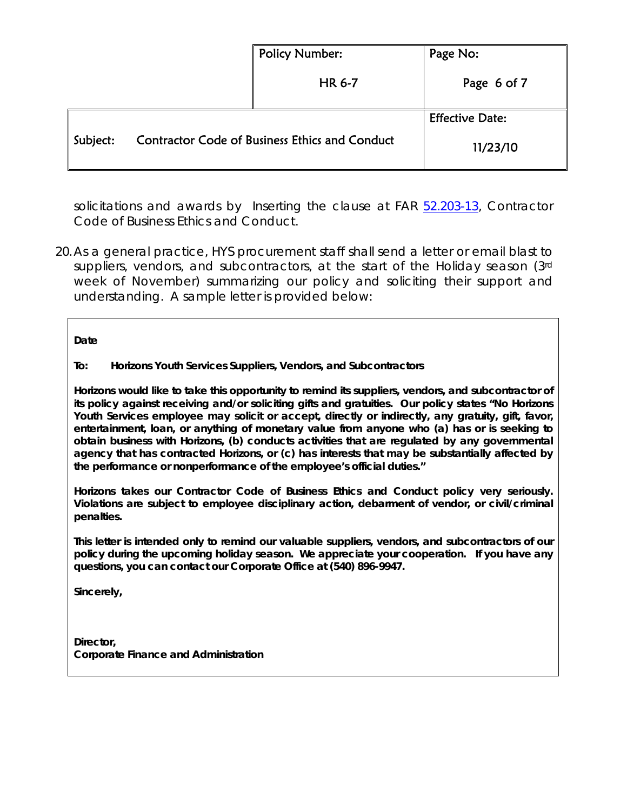|          |                                                       | <b>Policy Number:</b> | Page No:               |
|----------|-------------------------------------------------------|-----------------------|------------------------|
|          |                                                       | <b>HR 6-7</b>         | Page 6 of 7            |
|          |                                                       |                       | <b>Effective Date:</b> |
| Subject: | <b>Contractor Code of Business Ethics and Conduct</b> |                       | 11/23/10               |

solicitations and awards by Inserting the clause at FAR 52.203-13, Contractor Code of Business Ethics and Conduct.

20.As a general practice, HYS procurement staff shall send a letter or email blast to suppliers, vendors, and subcontractors, at the start of the Holiday season (3rd week of November) summarizing our policy and soliciting their support and understanding. A sample letter is provided below:

**Date** 

### **To: Horizons Youth Services Suppliers, Vendors, and Subcontractors**

**Horizons would like to take this opportunity to remind its suppliers, vendors, and subcontractor of its policy against receiving and/or soliciting gifts and gratuities. Our policy states "No Horizons Youth Services employee may solicit or accept, directly or indirectly, any gratuity, gift, favor, entertainment, loan, or anything of monetary value from anyone who (a) has or is seeking to obtain business with Horizons, (b) conducts activities that are regulated by any governmental agency that has contracted Horizons, or (c) has interests that may be substantially affected by the performance or nonperformance of the employee's official duties."** 

**Horizons takes our Contractor Code of Business Ethics and Conduct policy very seriously. Violations are subject to employee disciplinary action, debarment of vendor, or civil/criminal penalties.** 

**This letter is intended only to remind our valuable suppliers, vendors, and subcontractors of our policy during the upcoming holiday season. We appreciate your cooperation. If you have any questions, you can contact our Corporate Office at (540) 896-9947.** 

**Sincerely,** 

**Director, Corporate Finance and Administration**